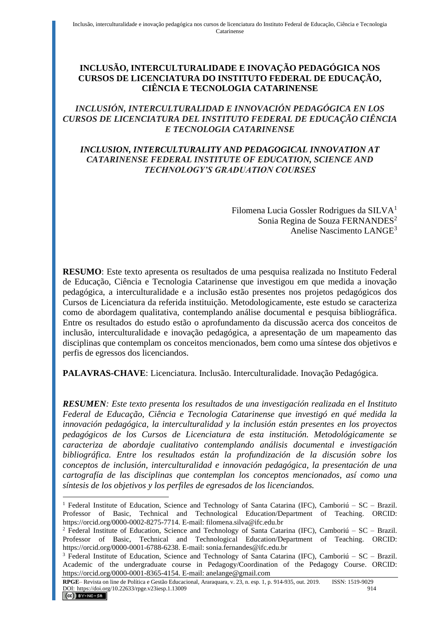# **INCLUSÃO, INTERCULTURALIDADE E INOVAÇÃO PEDAGÓGICA NOS CURSOS DE LICENCIATURA DO INSTITUTO FEDERAL DE EDUCAÇÃO, CIÊNCIA E TECNOLOGIA CATARINENSE**

# *INCLUSIÓN, INTERCULTURALIDAD E INNOVACIÓN PEDAGÓGICA EN LOS CURSOS DE LICENCIATURA DEL INSTITUTO FEDERAL DE EDUCAÇÃO CIÊNCIA E TECNOLOGIA CATARINENSE*

## *INCLUSION, INTERCULTURALITY AND PEDAGOGICAL INNOVATION AT CATARINENSE FEDERAL INSTITUTE OF EDUCATION, SCIENCE AND TECHNOLOGY'S GRADUATION COURSES*

Filomena Lucia Gossler Rodrigues da SILVA<sup>1</sup> Sonia Regina de Souza FERNANDES<sup>2</sup> Anelise Nascimento LANGE<sup>3</sup>

**RESUMO**: Este texto apresenta os resultados de uma pesquisa realizada no Instituto Federal de Educação, Ciência e Tecnologia Catarinense que investigou em que medida a inovação pedagógica, a interculturalidade e a inclusão estão presentes nos projetos pedagógicos dos Cursos de Licenciatura da referida instituição. Metodologicamente, este estudo se caracteriza como de abordagem qualitativa, contemplando análise documental e pesquisa bibliográfica. Entre os resultados do estudo estão o aprofundamento da discussão acerca dos conceitos de inclusão, interculturalidade e inovação pedagógica, a apresentação de um mapeamento das disciplinas que contemplam os conceitos mencionados, bem como uma síntese dos objetivos e perfis de egressos dos licenciandos.

**PALAVRAS-CHAVE**: Licenciatura. Inclusão. Interculturalidade. Inovação Pedagógica.

*RESUMEN: Este texto presenta los resultados de una investigación realizada en el Instituto Federal de Educação, Ciência e Tecnologia Catarinense que investigó en qué medida la innovación pedagógica, la interculturalidad y la inclusión están presentes en los proyectos pedagógicos de los Cursos de Licenciatura de esta institución. Metodológicamente se caracteriza de abordaje cualitativo contemplando análisis documental e investigación bibliográfica. Entre los resultados están la profundización de la discusión sobre los conceptos de inclusión, interculturalidad e innovación pedagógica, la presentación de una cartografía de las disciplinas que contemplan los conceptos mencionados, así como una síntesis de los objetivos y los perfiles de egresados de los licenciandos.*

<sup>&</sup>lt;sup>1</sup> Federal Institute of Education, Science and Technology of Santa Catarina (IFC), Camboriú – SC – Brazil. Professor of Basic, Technical and Technological Education/Department of Teaching. ORCID: https://orcid.org/0000-0002-8275-7714. E-mail: filomena.silva@ifc.edu.br

<sup>&</sup>lt;sup>2</sup> Federal Institute of Education, Science and Technology of Santa Catarina (IFC), Camboriú – SC – Brazil. Professor of Basic, Technical and Technological Education/Department of Teaching. ORCID: https://orcid.org/0000-0001-6788-6238. E-mail: sonia.fernandes@ifc.edu.br

<sup>&</sup>lt;sup>3</sup> Federal Institute of Education, Science and Technology of Santa Catarina (IFC), Camboriú – SC – Brazil. Academic of the undergraduate course in Pedagogy/Coordination of the Pedagogy Course. ORCID: https://orcid.org/0000-0001-8365-4154. E-mail: anelange@gmail.com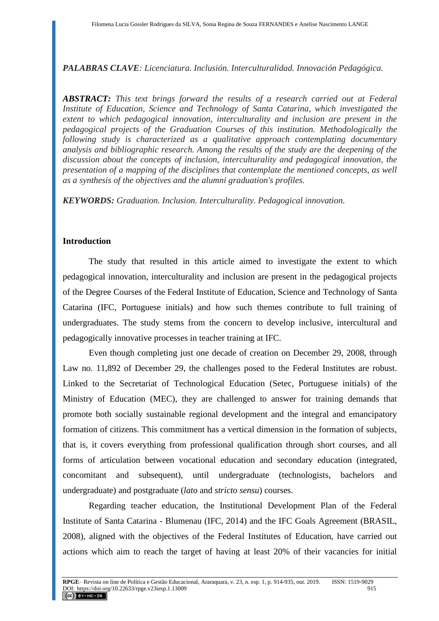*PALABRAS CLAVE: Licenciatura. Inclusión. Interculturalidad. Innovación Pedagógica.*

*ABSTRACT: This text brings forward the results of a research carried out at Federal Institute of Education, Science and Technology of Santa Catarina, which investigated the extent to which pedagogical innovation, interculturality and inclusion are present in the pedagogical projects of the Graduation Courses of this institution. Methodologically the following study is characterized as a qualitative approach contemplating documentary analysis and bibliographic research. Among the results of the study are the deepening of the discussion about the concepts of inclusion, interculturality and pedagogical innovation, the presentation of a mapping of the disciplines that contemplate the mentioned concepts, as well as a synthesis of the objectives and the alumni graduation's profiles.*

*KEYWORDS: Graduation. Inclusion. Interculturality. Pedagogical innovation.*

#### **Introduction**

The study that resulted in this article aimed to investigate the extent to which pedagogical innovation, interculturality and inclusion are present in the pedagogical projects of the Degree Courses of the Federal Institute of Education, Science and Technology of Santa Catarina (IFC, Portuguese initials) and how such themes contribute to full training of undergraduates. The study stems from the concern to develop inclusive, intercultural and pedagogically innovative processes in teacher training at IFC.

Even though completing just one decade of creation on December 29, 2008, through Law no. 11,892 of December 29, the challenges posed to the Federal Institutes are robust. Linked to the Secretariat of Technological Education (Setec, Portuguese initials) of the Ministry of Education (MEC), they are challenged to answer for training demands that promote both socially sustainable regional development and the integral and emancipatory formation of citizens. This commitment has a vertical dimension in the formation of subjects, that is, it covers everything from professional qualification through short courses, and all forms of articulation between vocational education and secondary education (integrated, concomitant and subsequent), until undergraduate (technologists, bachelors and undergraduate) and postgraduate (*lato* and *stricto sensu*) courses.

Regarding teacher education, the Institutional Development Plan of the Federal Institute of Santa Catarina - Blumenau (IFC, 2014) and the IFC Goals Agreement (BRASIL, 2008), aligned with the objectives of the Federal Institutes of Education, have carried out actions which aim to reach the target of having at least 20% of their vacancies for initial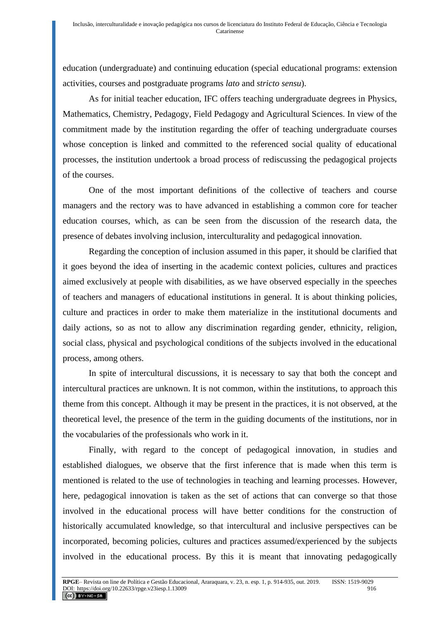education (undergraduate) and continuing education (special educational programs: extension activities, courses and postgraduate programs *lato* and *stricto sensu*).

As for initial teacher education, IFC offers teaching undergraduate degrees in Physics, Mathematics, Chemistry, Pedagogy, Field Pedagogy and Agricultural Sciences. In view of the commitment made by the institution regarding the offer of teaching undergraduate courses whose conception is linked and committed to the referenced social quality of educational processes, the institution undertook a broad process of rediscussing the pedagogical projects of the courses.

One of the most important definitions of the collective of teachers and course managers and the rectory was to have advanced in establishing a common core for teacher education courses, which, as can be seen from the discussion of the research data, the presence of debates involving inclusion, interculturality and pedagogical innovation.

Regarding the conception of inclusion assumed in this paper, it should be clarified that it goes beyond the idea of inserting in the academic context policies, cultures and practices aimed exclusively at people with disabilities, as we have observed especially in the speeches of teachers and managers of educational institutions in general. It is about thinking policies, culture and practices in order to make them materialize in the institutional documents and daily actions, so as not to allow any discrimination regarding gender, ethnicity, religion, social class, physical and psychological conditions of the subjects involved in the educational process, among others.

In spite of intercultural discussions, it is necessary to say that both the concept and intercultural practices are unknown. It is not common, within the institutions, to approach this theme from this concept. Although it may be present in the practices, it is not observed, at the theoretical level, the presence of the term in the guiding documents of the institutions, nor in the vocabularies of the professionals who work in it.

Finally, with regard to the concept of pedagogical innovation, in studies and established dialogues, we observe that the first inference that is made when this term is mentioned is related to the use of technologies in teaching and learning processes. However, here, pedagogical innovation is taken as the set of actions that can converge so that those involved in the educational process will have better conditions for the construction of historically accumulated knowledge, so that intercultural and inclusive perspectives can be incorporated, becoming policies, cultures and practices assumed/experienced by the subjects involved in the educational process. By this it is meant that innovating pedagogically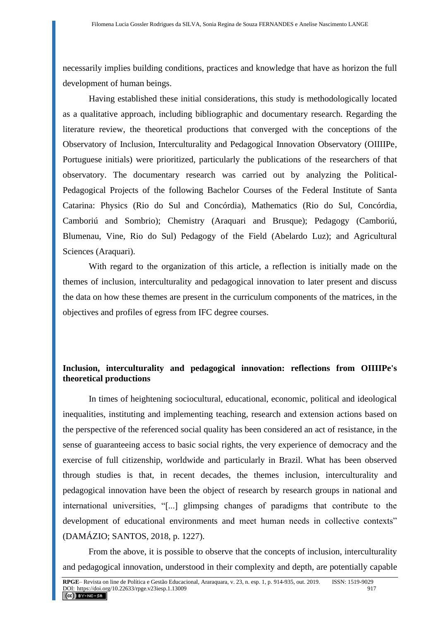necessarily implies building conditions, practices and knowledge that have as horizon the full development of human beings.

Having established these initial considerations, this study is methodologically located as a qualitative approach, including bibliographic and documentary research. Regarding the literature review, the theoretical productions that converged with the conceptions of the Observatory of Inclusion, Interculturality and Pedagogical Innovation Observatory (OIIIIPe, Portuguese initials) were prioritized, particularly the publications of the researchers of that observatory. The documentary research was carried out by analyzing the Political-Pedagogical Projects of the following Bachelor Courses of the Federal Institute of Santa Catarina: Physics (Rio do Sul and Concórdia), Mathematics (Rio do Sul, Concórdia, Camboriú and Sombrio); Chemistry (Araquari and Brusque); Pedagogy (Camboriú, Blumenau, Vine, Rio do Sul) Pedagogy of the Field (Abelardo Luz); and Agricultural Sciences (Araquari).

With regard to the organization of this article, a reflection is initially made on the themes of inclusion, interculturality and pedagogical innovation to later present and discuss the data on how these themes are present in the curriculum components of the matrices, in the objectives and profiles of egress from IFC degree courses.

# **Inclusion, interculturality and pedagogical innovation: reflections from OIIIIPe's theoretical productions**

In times of heightening sociocultural, educational, economic, political and ideological inequalities, instituting and implementing teaching, research and extension actions based on the perspective of the referenced social quality has been considered an act of resistance, in the sense of guaranteeing access to basic social rights, the very experience of democracy and the exercise of full citizenship, worldwide and particularly in Brazil. What has been observed through studies is that, in recent decades, the themes inclusion, interculturality and pedagogical innovation have been the object of research by research groups in national and international universities, "[...] glimpsing changes of paradigms that contribute to the development of educational environments and meet human needs in collective contexts" (DAMÁZIO; SANTOS, 2018, p. 1227).

From the above, it is possible to observe that the concepts of inclusion, interculturality and pedagogical innovation, understood in their complexity and depth, are potentially capable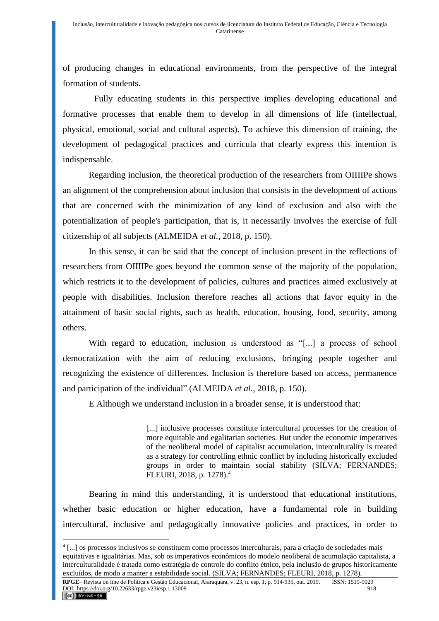of producing changes in educational environments, from the perspective of the integral formation of students.

Fully educating students in this perspective implies developing educational and formative processes that enable them to develop in all dimensions of life (intellectual, physical, emotional, social and cultural aspects). To achieve this dimension of training, the development of pedagogical practices and curricula that clearly express this intention is indispensable.

Regarding inclusion, the theoretical production of the researchers from OIIIIPe shows an alignment of the comprehension about inclusion that consists in the development of actions that are concerned with the minimization of any kind of exclusion and also with the potentialization of people's participation, that is, it necessarily involves the exercise of full citizenship of all subjects (ALMEIDA *et al.*, 2018, p. 150).

In this sense, it can be said that the concept of inclusion present in the reflections of researchers from OIIIIPe goes beyond the common sense of the majority of the population, which restricts it to the development of policies, cultures and practices aimed exclusively at people with disabilities. Inclusion therefore reaches all actions that favor equity in the attainment of basic social rights, such as health, education, housing, food, security, among others.

With regard to education, inclusion is understood as "[...] a process of school democratization with the aim of reducing exclusions, bringing people together and recognizing the existence of differences. Inclusion is therefore based on access, permanence and participation of the individual" (ALMEIDA *et al.*, 2018, p. 150).

E Although we understand inclusion in a broader sense, it is understood that:

[...] inclusive processes constitute intercultural processes for the creation of more equitable and egalitarian societies. But under the economic imperatives of the neoliberal model of capitalist accumulation, interculturality is treated as a strategy for controlling ethnic conflict by including historically excluded groups in order to maintain social stability (SILVA; FERNANDES; FLEURI, 2018, p. 1278).<sup>4</sup>

Bearing in mind this understanding, it is understood that educational institutions, whether basic education or higher education, have a fundamental role in building intercultural, inclusive and pedagogically innovative policies and practices, in order to

<sup>4</sup> [...] os processos inclusivos se constituem como processos interculturais, para a criação de sociedades mais equitativas e igualitárias. Mas, sob os imperativos econômicos do modelo neoliberal de acumulação capitalista, a interculturalidade é tratada como estratégia de controle do conflito étnico, pela inclusão de grupos historicamente excluídos, de modo a manter a estabilidade social. (SILVA; FERNANDES; FLEURI, 2018, p. 1278).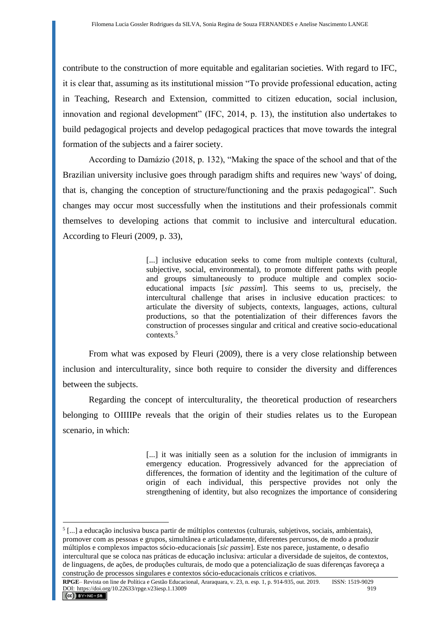contribute to the construction of more equitable and egalitarian societies. With regard to IFC, it is clear that, assuming as its institutional mission "To provide professional education, acting in Teaching, Research and Extension, committed to citizen education, social inclusion, innovation and regional development" (IFC, 2014, p. 13), the institution also undertakes to build pedagogical projects and develop pedagogical practices that move towards the integral formation of the subjects and a fairer society.

According to Damázio (2018, p. 132), "Making the space of the school and that of the Brazilian university inclusive goes through paradigm shifts and requires new 'ways' of doing, that is, changing the conception of structure/functioning and the praxis pedagogical". Such changes may occur most successfully when the institutions and their professionals commit themselves to developing actions that commit to inclusive and intercultural education. According to Fleuri (2009, p. 33),

> [...] inclusive education seeks to come from multiple contexts (cultural, subjective, social, environmental), to promote different paths with people and groups simultaneously to produce multiple and complex socioeducational impacts [*sic passim*]. This seems to us, precisely, the intercultural challenge that arises in inclusive education practices: to articulate the diversity of subjects, contexts, languages, actions, cultural productions, so that the potentialization of their differences favors the construction of processes singular and critical and creative socio-educational contexts.<sup>5</sup>

From what was exposed by Fleuri (2009), there is a very close relationship between inclusion and interculturality, since both require to consider the diversity and differences between the subjects.

Regarding the concept of interculturality, the theoretical production of researchers belonging to OIIIIPe reveals that the origin of their studies relates us to the European scenario, in which:

> [...] it was initially seen as a solution for the inclusion of immigrants in emergency education. Progressively advanced for the appreciation of differences, the formation of identity and the legitimation of the culture of origin of each individual, this perspective provides not only the strengthening of identity, but also recognizes the importance of considering

<sup>&</sup>lt;sup>5</sup>[...] a educação inclusiva busca partir de múltiplos contextos (culturais, subjetivos, sociais, ambientais), promover com as pessoas e grupos, simultânea e articuladamente, diferentes percursos, de modo a produzir múltiplos e complexos impactos sócio-educacionais [*sic passim*]. Este nos parece, justamente, o desafio intercultural que se coloca nas práticas de educação inclusiva: articular a diversidade de sujeitos, de contextos, de linguagens, de ações, de produções culturais, de modo que a potencialização de suas diferenças favoreça a construção de processos singulares e contextos sócio-educacionais críticos e criativos.

**RPGE**– Revista on line de Política e Gestão Educacional, Araraquara, v. 23, n. esp. 1, p. 914-935, out. 2019. ISSN: 1519-9029 DOI: https://doi.org/10.22633/rpge.v23iesp.1.13009 919  $(Cc)$  BY-NC-SA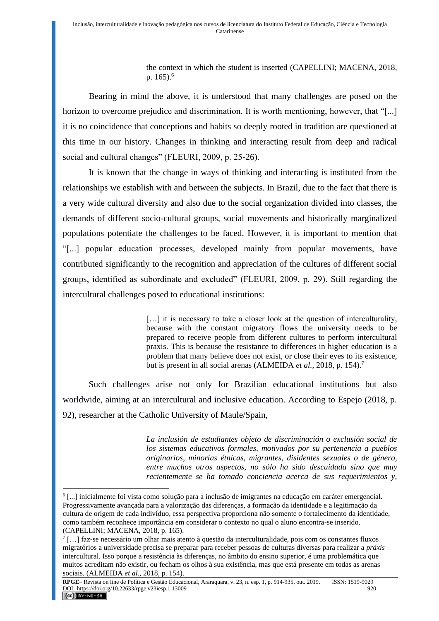the context in which the student is inserted (CAPELLINI; MACENA, 2018, p. 165).<sup>6</sup>

Bearing in mind the above, it is understood that many challenges are posed on the horizon to overcome prejudice and discrimination. It is worth mentioning, however, that "[...] it is no coincidence that conceptions and habits so deeply rooted in tradition are questioned at this time in our history. Changes in thinking and interacting result from deep and radical social and cultural changes" (FLEURI, 2009, p. 25-26).

It is known that the change in ways of thinking and interacting is instituted from the relationships we establish with and between the subjects. In Brazil, due to the fact that there is a very wide cultural diversity and also due to the social organization divided into classes, the demands of different socio-cultural groups, social movements and historically marginalized populations potentiate the challenges to be faced. However, it is important to mention that "[...] popular education processes, developed mainly from popular movements, have contributed significantly to the recognition and appreciation of the cultures of different social groups, identified as subordinate and excluded" (FLEURI, 2009, p. 29). Still regarding the intercultural challenges posed to educational institutions:

> [...] it is necessary to take a closer look at the question of interculturality, because with the constant migratory flows the university needs to be prepared to receive people from different cultures to perform intercultural praxis. This is because the resistance to differences in higher education is a problem that many believe does not exist, or close their eyes to its existence, but is present in all social arenas (ALMEIDA *et al.*, 2018, p. 154).<sup>7</sup>

Such challenges arise not only for Brazilian educational institutions but also worldwide, aiming at an intercultural and inclusive education. According to Espejo (2018, p. 92), researcher at the Catholic University of Maule/Spain,

> *La inclusión de estudiantes objeto de discriminación o exclusión social de los sistemas educativos formales, motivados por su pertenencia a pueblos originarios, minorías étnicas, migrantes, disidentes sexuales o de género, entre muchos otros aspectos, no sólo ha sido descuidada sino que muy recientemente se ha tomado conciencia acerca de sus requerimientos y,*

<sup>6</sup> [...] inicialmente foi vista como solução para a inclusão de imigrantes na educação em caráter emergencial. Progressivamente avançada para a valorização das diferenças, a formação da identidade e a legitimação da cultura de origem de cada indivíduo, essa perspectiva proporciona não somente o fortalecimento da identidade, como também reconhece importância em considerar o contexto no qual o aluno encontra-se inserido. (CAPELLINI; MACENA, 2018, p. 165).

<sup>&</sup>lt;sup>7</sup>[...] faz-se necessário um olhar mais atento à questão da interculturalidade, pois com os constantes fluxos migratórios a universidade precisa se preparar para receber pessoas de culturas diversas para realizar a *práxis* intercultural. Isso porque a resistência às diferenças, no âmbito do ensino superior, é uma problemática que muitos acreditam não existir, ou fecham os olhos à sua existência, mas que está presente em todas as arenas sociais. (ALMEIDA *et al.*, 2018, p. 154).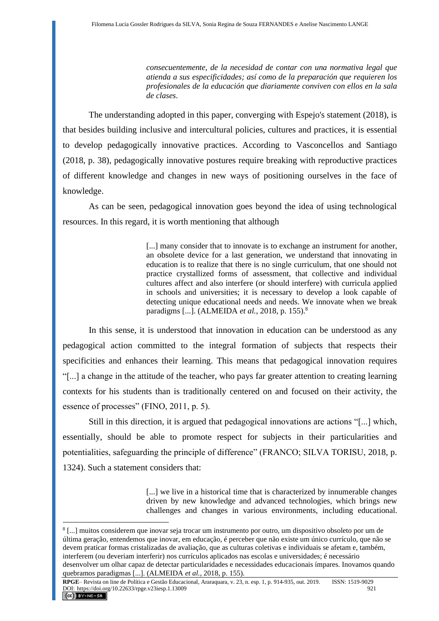*consecuentemente, de la necesidad de contar con una normativa legal que atienda a sus especificidades; así como de la preparación que requieren los profesionales de la educación que diariamente conviven con ellos en la sala de clases*.

The understanding adopted in this paper, converging with Espejo's statement (2018), is that besides building inclusive and intercultural policies, cultures and practices, it is essential to develop pedagogically innovative practices. According to Vasconcellos and Santiago (2018, p. 38), pedagogically innovative postures require breaking with reproductive practices of different knowledge and changes in new ways of positioning ourselves in the face of knowledge.

As can be seen, pedagogical innovation goes beyond the idea of using technological resources. In this regard, it is worth mentioning that although

> [...] many consider that to innovate is to exchange an instrument for another, an obsolete device for a last generation, we understand that innovating in education is to realize that there is no single curriculum, that one should not practice crystallized forms of assessment, that collective and individual cultures affect and also interfere (or should interfere) with curricula applied in schools and universities; it is necessary to develop a look capable of detecting unique educational needs and needs. We innovate when we break paradigms [...]. (ALMEIDA *et al.*, 2018, p. 155).<sup>8</sup>

In this sense, it is understood that innovation in education can be understood as any pedagogical action committed to the integral formation of subjects that respects their specificities and enhances their learning. This means that pedagogical innovation requires "[...] a change in the attitude of the teacher, who pays far greater attention to creating learning contexts for his students than is traditionally centered on and focused on their activity, the essence of processes" (FINO, 2011, p. 5).

Still in this direction, it is argued that pedagogical innovations are actions "[...] which, essentially, should be able to promote respect for subjects in their particularities and potentialities, safeguarding the principle of difference" (FRANCO; SILVA TORISU, 2018, p. 1324). Such a statement considers that:

> [...] we live in a historical time that is characterized by innumerable changes driven by new knowledge and advanced technologies, which brings new challenges and changes in various environments, including educational.

<sup>8</sup> [...] muitos considerem que inovar seja trocar um instrumento por outro, um dispositivo obsoleto por um de última geração, entendemos que inovar, em educação, é perceber que não existe um único currículo, que não se devem praticar formas cristalizadas de avaliação, que as culturas coletivas e individuais se afetam e, também, interferem (ou deveriam interferir) nos currículos aplicados nas escolas e universidades; é necessário desenvolver um olhar capaz de detectar particularidades e necessidades educacionais ímpares. Inovamos quando quebramos paradigmas [...]. (ALMEIDA *et al.*, 2018, p. 155).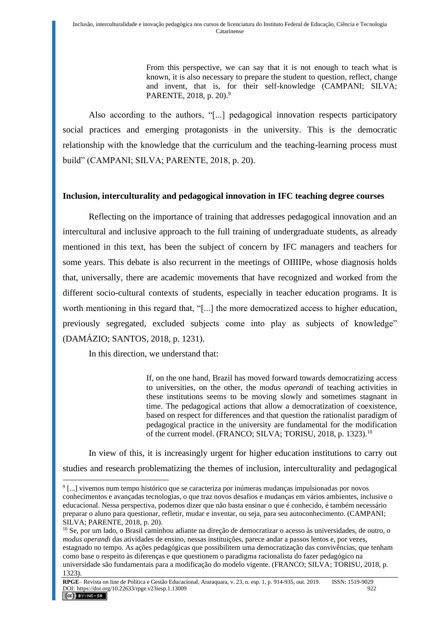From this perspective, we can say that it is not enough to teach what is known, it is also necessary to prepare the student to question, reflect, change and invent, that is, for their self-knowledge (CAMPANI; SILVA; PARENTE, 2018, p. 20).<sup>9</sup>

Also according to the authors, "[...] pedagogical innovation respects participatory social practices and emerging protagonists in the university. This is the democratic relationship with the knowledge that the curriculum and the teaching-learning process must build" (CAMPANI; SILVA; PARENTE, 2018, p. 20).

## **Inclusion, interculturality and pedagogical innovation in IFC teaching degree courses**

Reflecting on the importance of training that addresses pedagogical innovation and an intercultural and inclusive approach to the full training of undergraduate students, as already mentioned in this text, has been the subject of concern by IFC managers and teachers for some years. This debate is also recurrent in the meetings of OIIIIPe, whose diagnosis holds that, universally, there are academic movements that have recognized and worked from the different socio-cultural contexts of students, especially in teacher education programs. It is worth mentioning in this regard that, "[...] the more democratized access to higher education, previously segregated, excluded subjects come into play as subjects of knowledge" (DAMÁZIO; SANTOS, 2018, p. 1231).

In this direction, we understand that:

If, on the one hand, Brazil has moved forward towards democratizing access to universities, on the other, the *modus operandi* of teaching activities in these institutions seems to be moving slowly and sometimes stagnant in time. The pedagogical actions that allow a democratization of coexistence, based on respect for differences and that question the rationalist paradigm of pedagogical practice in the university are fundamental for the modification of the current model. (FRANCO; SILVA; TORISU, 2018, p. 1323).<sup>10</sup>

In view of this, it is increasingly urgent for higher education institutions to carry out studies and research problematizing the themes of inclusion, interculturality and pedagogical

<sup>&</sup>lt;sup>9</sup>[...] vivemos num tempo histórico que se caracteriza por inúmeras mudanças impulsionadas por novos conhecimentos e avançadas tecnologias, o que traz novos desafios e mudanças em vários ambientes, inclusive o educacional. Nessa perspectiva, podemos dizer que não basta ensinar o que é conhecido, é também necessário preparar o aluno para questionar, refletir, mudar e inventar, ou seja, para seu autoconhecimento. (CAMPANI; SILVA; PARENTE, 2018, p. 20).

<sup>10</sup> Se, por um lado, o Brasil caminhou adiante na direção de democratizar o acesso às universidades, de outro, o *modus operandi* das atividades de ensino, nessas instituições, parece andar a passos lentos e, por vezes, estagnado no tempo. As ações pedagógicas que possibilitem uma democratização das convivências, que tenham como base o respeito às diferenças e que questionem o paradigma racionalista do fazer pedagógico na universidade são fundamentais para a modificação do modelo vigente. (FRANCO; SILVA; TORISU, 2018, p. 1323).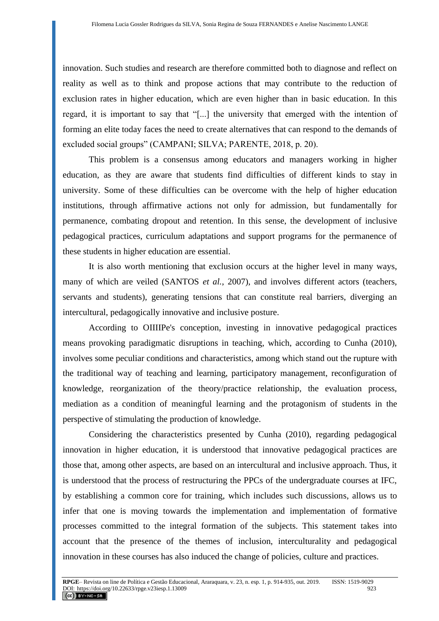innovation. Such studies and research are therefore committed both to diagnose and reflect on reality as well as to think and propose actions that may contribute to the reduction of exclusion rates in higher education, which are even higher than in basic education. In this regard, it is important to say that "[...] the university that emerged with the intention of forming an elite today faces the need to create alternatives that can respond to the demands of excluded social groups" (CAMPANI; SILVA; PARENTE, 2018, p. 20).

This problem is a consensus among educators and managers working in higher education, as they are aware that students find difficulties of different kinds to stay in university. Some of these difficulties can be overcome with the help of higher education institutions, through affirmative actions not only for admission, but fundamentally for permanence, combating dropout and retention. In this sense, the development of inclusive pedagogical practices, curriculum adaptations and support programs for the permanence of these students in higher education are essential.

It is also worth mentioning that exclusion occurs at the higher level in many ways, many of which are veiled (SANTOS *et al.*, 2007), and involves different actors (teachers, servants and students), generating tensions that can constitute real barriers, diverging an intercultural, pedagogically innovative and inclusive posture.

According to OIIIIPe's conception, investing in innovative pedagogical practices means provoking paradigmatic disruptions in teaching, which, according to Cunha (2010), involves some peculiar conditions and characteristics, among which stand out the rupture with the traditional way of teaching and learning, participatory management, reconfiguration of knowledge, reorganization of the theory/practice relationship, the evaluation process, mediation as a condition of meaningful learning and the protagonism of students in the perspective of stimulating the production of knowledge.

Considering the characteristics presented by Cunha (2010), regarding pedagogical innovation in higher education, it is understood that innovative pedagogical practices are those that, among other aspects, are based on an intercultural and inclusive approach. Thus, it is understood that the process of restructuring the PPCs of the undergraduate courses at IFC, by establishing a common core for training, which includes such discussions, allows us to infer that one is moving towards the implementation and implementation of formative processes committed to the integral formation of the subjects. This statement takes into account that the presence of the themes of inclusion, interculturality and pedagogical innovation in these courses has also induced the change of policies, culture and practices.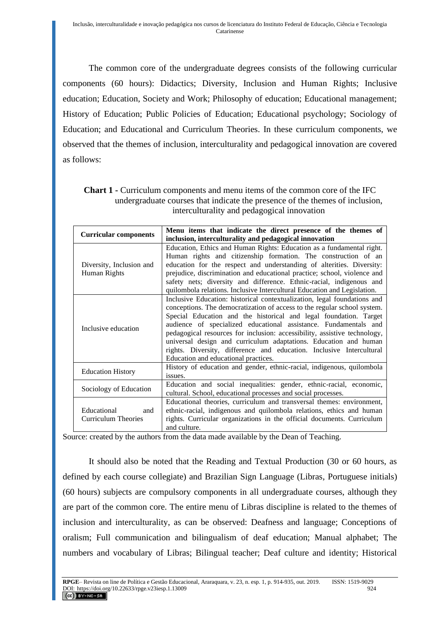The common core of the undergraduate degrees consists of the following curricular components (60 hours): Didactics; Diversity, Inclusion and Human Rights; Inclusive education; Education, Society and Work; Philosophy of education; Educational management; History of Education; Public Policies of Education; Educational psychology; Sociology of Education; and Educational and Curriculum Theories. In these curriculum components, we observed that the themes of inclusion, interculturality and pedagogical innovation are covered as follows:

| <b>Curricular components</b> | Menu items that indicate the direct presence of the themes of             |
|------------------------------|---------------------------------------------------------------------------|
|                              | inclusion, interculturality and pedagogical innovation                    |
|                              | Education, Ethics and Human Rights: Education as a fundamental right.     |
|                              | Human rights and citizenship formation. The construction of an            |
| Diversity, Inclusion and     | education for the respect and understanding of alterities. Diversity:     |
| Human Rights                 | prejudice, discrimination and educational practice; school, violence and  |
|                              | safety nets; diversity and difference. Ethnic-racial, indigenous and      |
|                              | quilombola relations. Inclusive Intercultural Education and Legislation.  |
|                              | Inclusive Education: historical contextualization, legal foundations and  |
|                              | conceptions. The democratization of access to the regular school system.  |
|                              | Special Education and the historical and legal foundation. Target         |
| Inclusive education          | audience of specialized educational assistance. Fundamentals and          |
|                              | pedagogical resources for inclusion: accessibility, assistive technology, |
|                              | universal design and curriculum adaptations. Education and human          |
|                              | rights. Diversity, difference and education. Inclusive Intercultural      |
|                              | Education and educational practices.                                      |
| <b>Education History</b>     | History of education and gender, ethnic-racial, indigenous, quilombola    |
|                              | issues.                                                                   |
| Sociology of Education       | Education and social inequalities: gender, ethnic-racial, economic,       |
|                              | cultural. School, educational processes and social processes.             |
|                              | Educational theories, curriculum and transversal themes: environment,     |
| Educational<br>and           | ethnic-racial, indigenous and quilombola relations, ethics and human      |
| Curriculum Theories          | rights. Curricular organizations in the official documents. Curriculum    |
|                              | and culture.                                                              |

**Chart 1 -** Curriculum components and menu items of the common core of the IFC undergraduate courses that indicate the presence of the themes of inclusion, interculturality and pedagogical innovation

Source: created by the authors from the data made available by the Dean of Teaching.

It should also be noted that the Reading and Textual Production (30 or 60 hours, as defined by each course collegiate) and Brazilian Sign Language (Libras, Portuguese initials) (60 hours) subjects are compulsory components in all undergraduate courses, although they are part of the common core. The entire menu of Libras discipline is related to the themes of inclusion and interculturality, as can be observed: Deafness and language; Conceptions of oralism; Full communication and bilingualism of deaf education; Manual alphabet; The numbers and vocabulary of Libras; Bilingual teacher; Deaf culture and identity; Historical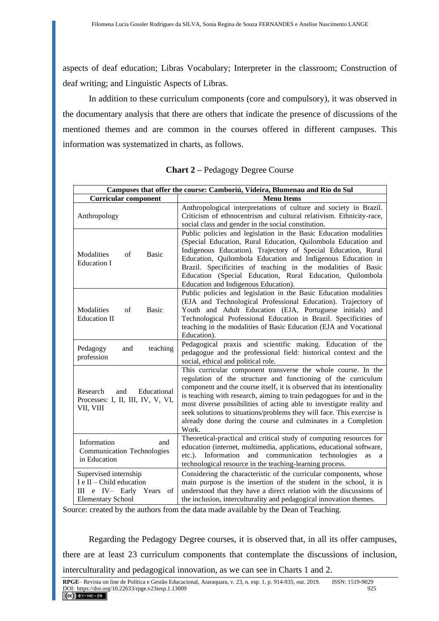aspects of deaf education; Libras Vocabulary; Interpreter in the classroom; Construction of deaf writing; and Linguistic Aspects of Libras.

In addition to these curriculum components (core and compulsory), it was observed in the documentary analysis that there are others that indicate the presence of discussions of the mentioned themes and are common in the courses offered in different campuses. This information was systematized in charts, as follows.

| Campuses that offer the course: Camboriú, Videira, Blumenau and Rio do Sul                                      |                                                                                                                                                                                                                                                                                                                                                                                                                                                                                                               |  |
|-----------------------------------------------------------------------------------------------------------------|---------------------------------------------------------------------------------------------------------------------------------------------------------------------------------------------------------------------------------------------------------------------------------------------------------------------------------------------------------------------------------------------------------------------------------------------------------------------------------------------------------------|--|
| <b>Curricular component</b>                                                                                     | <b>Menu Items</b>                                                                                                                                                                                                                                                                                                                                                                                                                                                                                             |  |
| Anthropology                                                                                                    | Anthropological interpretations of culture and society in Brazil.<br>Criticism of ethnocentrism and cultural relativism. Ethnicity-race,<br>social class and gender in the social constitution.                                                                                                                                                                                                                                                                                                               |  |
| Modalities<br>of<br><b>Basic</b><br><b>Education I</b>                                                          | Public policies and legislation in the Basic Education modalities<br>(Special Education, Rural Education, Quilombola Education and<br>Indigenous Education). Trajectory of Special Education, Rural<br>Education, Quilombola Education and Indigenous Education in<br>Brazil. Specificities of teaching in the modalities of Basic<br>Education (Special Education, Rural Education, Quilombola<br>Education and Indigenous Education).                                                                       |  |
| Modalities<br>of<br><b>Basic</b><br><b>Education II</b>                                                         | Public policies and legislation in the Basic Education modalities<br>(EJA and Technological Professional Education). Trajectory of<br>Youth and Adult Education (EJA, Portuguese initials) and<br>Technological Professional Education in Brazil. Specificities of<br>teaching in the modalities of Basic Education (EJA and Vocational<br>Education).                                                                                                                                                        |  |
| Pedagogy<br>and<br>teaching<br>profession                                                                       | Pedagogical praxis and scientific making. Education of the<br>pedagogue and the professional field: historical context and the<br>social, ethical and political role.                                                                                                                                                                                                                                                                                                                                         |  |
| Research<br>and<br>Educational<br>Processes: I, II, III, IV, V, VI,<br>VII, VIII                                | This curricular component transverse the whole course. In the<br>regulation of the structure and functioning of the curriculum<br>component and the course itself, it is observed that its intentionality<br>is teaching with research, aiming to train pedagogues for and in the<br>most diverse possibilities of acting able to investigate reality and<br>seek solutions to situations/problems they will face. This exercise is<br>already done during the course and culminates in a Completion<br>Work. |  |
| Information<br>and<br><b>Communication Technologies</b><br>in Education                                         | Theoretical-practical and critical study of computing resources for<br>education (internet, multimedia, applications, educational software,<br>and communication technologies<br>$etc.$ ).<br>Information<br>as<br>a<br>technological resource in the teaching-learning process.                                                                                                                                                                                                                              |  |
| Supervised internship<br>I e II – Child education<br>III e IV- Early<br>Years<br>of<br><b>Elementary School</b> | Considering the characteristic of the curricular components, whose<br>main purpose is the insertion of the student in the school, it is<br>understood that they have a direct relation with the discussions of<br>the inclusion, interculturality and pedagogical innovation themes.                                                                                                                                                                                                                          |  |

**Chart 2 –** Pedagogy Degree Course

Source: created by the authors from the data made available by the Dean of Teaching.

Regarding the Pedagogy Degree courses, it is observed that, in all its offer campuses, there are at least 23 curriculum components that contemplate the discussions of inclusion, interculturality and pedagogical innovation, as we can see in Charts 1 and 2.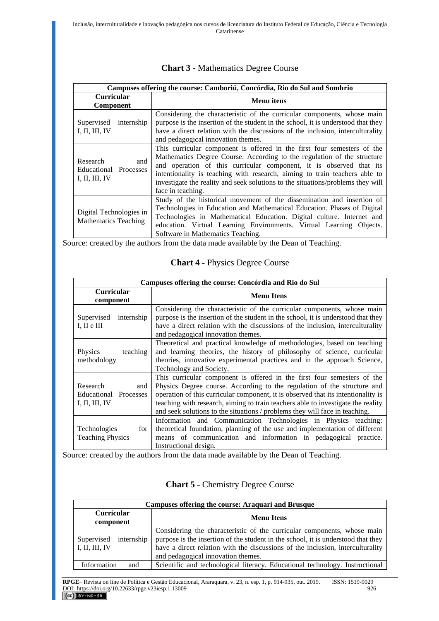| Campuses offering the course: Camboriú, Concórdia, Rio do Sul and Sombrio |                                                                                                                                                                                                                                                                                                                                                                                                                 |
|---------------------------------------------------------------------------|-----------------------------------------------------------------------------------------------------------------------------------------------------------------------------------------------------------------------------------------------------------------------------------------------------------------------------------------------------------------------------------------------------------------|
| <b>Curricular</b><br>Component                                            | <b>Menu</b> itens                                                                                                                                                                                                                                                                                                                                                                                               |
| internship<br>Supervised<br>I, II, III, IV                                | Considering the characteristic of the curricular components, whose main<br>purpose is the insertion of the student in the school, it is understood that they<br>have a direct relation with the discussions of the inclusion, interculturality<br>and pedagogical innovation themes.                                                                                                                            |
| Research<br>and<br>Educational Processes<br>I, II, III, IV                | This curricular component is offered in the first four semesters of the<br>Mathematics Degree Course. According to the regulation of the structure<br>and operation of this curricular component, it is observed that its<br>intentionality is teaching with research, aiming to train teachers able to<br>investigate the reality and seek solutions to the situations/problems they will<br>face in teaching. |
| Digital Technologies in<br><b>Mathematics Teaching</b>                    | Study of the historical movement of the dissemination and insertion of<br>Technologies in Education and Mathematical Education. Phases of Digital<br>Technologies in Mathematical Education. Digital culture. Internet and<br>education. Virtual Learning Environments. Virtual Learning Objects.<br>Software in Mathematics Teaching.                                                                          |

#### **Chart 3 -** Mathematics Degree Course

Source: created by the authors from the data made available by the Dean of Teaching.

## **Chart 4 -** Physics Degree Course

| Campuses offering the course: Concórdia and Rio do Sul     |                                                                                                                                                                                                                                                                                                                                                                                                            |
|------------------------------------------------------------|------------------------------------------------------------------------------------------------------------------------------------------------------------------------------------------------------------------------------------------------------------------------------------------------------------------------------------------------------------------------------------------------------------|
| <b>Curricular</b><br>component                             | <b>Menu</b> Itens                                                                                                                                                                                                                                                                                                                                                                                          |
| internship<br>Supervised<br>$I, II$ e $III$                | Considering the characteristic of the curricular components, whose main<br>purpose is the insertion of the student in the school, it is understood that they<br>have a direct relation with the discussions of the inclusion, interculturality<br>and pedagogical innovation themes.                                                                                                                       |
| Physics<br>teaching<br>methodology                         | Theoretical and practical knowledge of methodologies, based on teaching<br>and learning theories, the history of philosophy of science, curricular<br>theories, innovative experimental practices and in the approach Science,<br>Technology and Society.                                                                                                                                                  |
| Research<br>and<br>Educational Processes<br>I, II, III, IV | This curricular component is offered in the first four semesters of the<br>Physics Degree course. According to the regulation of the structure and<br>operation of this curricular component, it is observed that its intentionality is<br>teaching with research, aiming to train teachers able to investigate the reality<br>and seek solutions to the situations / problems they will face in teaching. |
| Technologies<br>for  <br><b>Teaching Physics</b>           | Information and Communication Technologies in Physics teaching:<br>theoretical foundation, planning of the use and implementation of different<br>means of communication and information in pedagogical practice.<br>Instructional design.                                                                                                                                                                 |

Source: created by the authors from the data made available by the Dean of Teaching.

#### **Chart 5 -** Chemistry Degree Course

| <b>Campuses offering the course: Araquari and Brusque</b> |                                                                                                                                                                                                                                                                                      |
|-----------------------------------------------------------|--------------------------------------------------------------------------------------------------------------------------------------------------------------------------------------------------------------------------------------------------------------------------------------|
| <b>Curricular</b><br>component                            | <b>Menu</b> Itens                                                                                                                                                                                                                                                                    |
| Supervised<br>internship<br>I, II, III, IV                | Considering the characteristic of the curricular components, whose main<br>purpose is the insertion of the student in the school, it is understood that they<br>have a direct relation with the discussions of the inclusion, interculturality<br>and pedagogical innovation themes. |
| Information<br>and                                        | Scientific and technological literacy. Educational technology. Instructional                                                                                                                                                                                                         |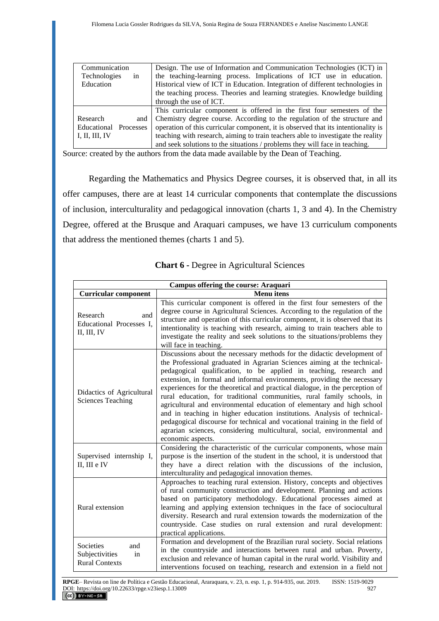| Communication            | Design. The use of Information and Communication Technologies (ICT) in            |
|--------------------------|-----------------------------------------------------------------------------------|
| Technologies<br>in       | the teaching-learning process. Implications of ICT use in education.              |
| Education                | Historical view of ICT in Education. Integration of different technologies in     |
|                          | the teaching process. Theories and learning strategies. Knowledge building        |
|                          | through the use of ICT.                                                           |
|                          | This curricular component is offered in the first four semesters of the           |
| Research<br>and          | Chemistry degree course. According to the regulation of the structure and         |
| Educational<br>Processes | operation of this curricular component, it is observed that its intentionality is |
| I, II, III, IV           | teaching with research, aiming to train teachers able to investigate the reality  |
|                          | and seek solutions to the situations / problems they will face in teaching.       |

Source: created by the authors from the data made available by the Dean of Teaching.

Regarding the Mathematics and Physics Degree courses, it is observed that, in all its offer campuses, there are at least 14 curricular components that contemplate the discussions of inclusion, interculturality and pedagogical innovation (charts 1, 3 and 4). In the Chemistry Degree, offered at the Brusque and Araquari campuses, we have 13 curriculum components that address the mentioned themes (charts 1 and 5).

| <b>Campus offering the course: Araquari</b>                       |                                                                                                                                                                                                                                                                                                                                                                                                                                                                                                                                                                                                                                                                                                                                                                                                     |
|-------------------------------------------------------------------|-----------------------------------------------------------------------------------------------------------------------------------------------------------------------------------------------------------------------------------------------------------------------------------------------------------------------------------------------------------------------------------------------------------------------------------------------------------------------------------------------------------------------------------------------------------------------------------------------------------------------------------------------------------------------------------------------------------------------------------------------------------------------------------------------------|
| <b>Curricular component</b>                                       | <b>Menu</b> itens                                                                                                                                                                                                                                                                                                                                                                                                                                                                                                                                                                                                                                                                                                                                                                                   |
| Research<br>and<br>Educational Processes I,<br>II, III, IV        | This curricular component is offered in the first four semesters of the<br>degree course in Agricultural Sciences. According to the regulation of the<br>structure and operation of this curricular component, it is observed that its<br>intentionality is teaching with research, aiming to train teachers able to<br>investigate the reality and seek solutions to the situations/problems they<br>will face in teaching.                                                                                                                                                                                                                                                                                                                                                                        |
| Didactics of Agricultural<br><b>Sciences Teaching</b>             | Discussions about the necessary methods for the didactic development of<br>the Professional graduated in Agrarian Sciences aiming at the technical-<br>pedagogical qualification, to be applied in teaching, research and<br>extension, in formal and informal environments, providing the necessary<br>experiences for the theoretical and practical dialogue, in the perception of<br>rural education, for traditional communities, rural family schools, in<br>agricultural and environmental education of elementary and high school<br>and in teaching in higher education institutions. Analysis of technical-<br>pedagogical discourse for technical and vocational training in the field of<br>agrarian sciences, considering multicultural, social, environmental and<br>economic aspects. |
| Supervised internship I,<br>II, III e IV                          | Considering the characteristic of the curricular components, whose main<br>purpose is the insertion of the student in the school, it is understood that<br>they have a direct relation with the discussions of the inclusion,<br>interculturality and pedagogical innovation themes.                                                                                                                                                                                                                                                                                                                                                                                                                                                                                                                |
| Rural extension                                                   | Approaches to teaching rural extension. History, concepts and objectives<br>of rural community construction and development. Planning and actions<br>based on participatory methodology. Educational processes aimed at<br>learning and applying extension techniques in the face of sociocultural<br>diversity. Research and rural extension towards the modernization of the<br>countryside. Case studies on rural extension and rural development:<br>practical applications.                                                                                                                                                                                                                                                                                                                    |
| Societies<br>and<br>Subjectivities<br>in<br><b>Rural Contexts</b> | Formation and development of the Brazilian rural society. Social relations<br>in the countryside and interactions between rural and urban. Poverty,<br>exclusion and relevance of human capital in the rural world. Visibility and<br>interventions focused on teaching, research and extension in a field not                                                                                                                                                                                                                                                                                                                                                                                                                                                                                      |

#### **Chart 6 -** Degree in Agricultural Sciences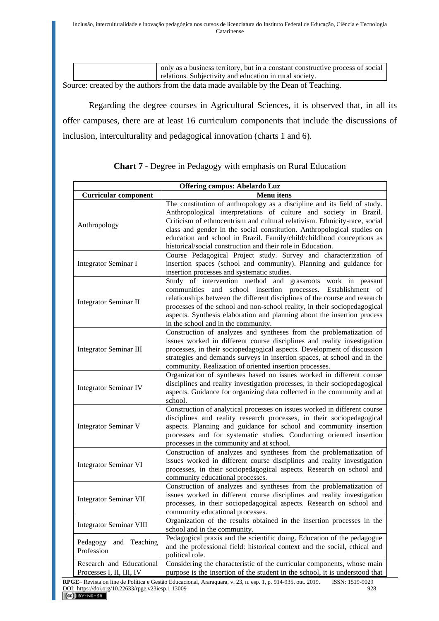| only as a business territory, but in a constant constructive process of social |
|--------------------------------------------------------------------------------|
| relations. Subjectivity and education in rural society.                        |

Source: created by the authors from the data made available by the Dean of Teaching.

Regarding the degree courses in Agricultural Sciences, it is observed that, in all its offer campuses, there are at least 16 curriculum components that include the discussions of inclusion, interculturality and pedagogical innovation (charts 1 and 6).

| <b>Offering campus: Abelardo Luz</b>                 |                                                                                                                                                                                                                                                                                                                                                                                                                                                |
|------------------------------------------------------|------------------------------------------------------------------------------------------------------------------------------------------------------------------------------------------------------------------------------------------------------------------------------------------------------------------------------------------------------------------------------------------------------------------------------------------------|
| <b>Curricular component</b>                          | <b>Menu</b> itens                                                                                                                                                                                                                                                                                                                                                                                                                              |
| Anthropology                                         | The constitution of anthropology as a discipline and its field of study.<br>Anthropological interpretations of culture and society in Brazil.<br>Criticism of ethnocentrism and cultural relativism. Ethnicity-race, social<br>class and gender in the social constitution. Anthropological studies on<br>education and school in Brazil. Family/child/childhood conceptions as<br>historical/social construction and their role in Education. |
| <b>Integrator Seminar I</b>                          | Course Pedagogical Project study. Survey and characterization of<br>insertion spaces (school and community). Planning and guidance for<br>insertion processes and systematic studies.                                                                                                                                                                                                                                                          |
| <b>Integrator Seminar II</b>                         | Study of intervention method and grassroots work in peasant<br>communities and school insertion processes.<br>Establishment of<br>relationships between the different disciplines of the course and research<br>processes of the school and non-school reality, in their sociopedagogical<br>aspects. Synthesis elaboration and planning about the insertion process<br>in the school and in the community.                                    |
| <b>Integrator Seminar III</b>                        | Construction of analyzes and syntheses from the problematization of<br>issues worked in different course disciplines and reality investigation<br>processes, in their sociopedagogical aspects. Development of discussion<br>strategies and demands surveys in insertion spaces, at school and in the<br>community. Realization of oriented insertion processes.                                                                               |
| <b>Integrator Seminar IV</b>                         | Organization of syntheses based on issues worked in different course<br>disciplines and reality investigation processes, in their sociopedagogical<br>aspects. Guidance for organizing data collected in the community and at<br>school.                                                                                                                                                                                                       |
| <b>Integrator Seminar V</b>                          | Construction of analytical processes on issues worked in different course<br>disciplines and reality research processes, in their sociopedagogical<br>aspects. Planning and guidance for school and community insertion<br>processes and for systematic studies. Conducting oriented insertion<br>processes in the community and at school.                                                                                                    |
| <b>Integrator Seminar VI</b>                         | Construction of analyzes and syntheses from the problematization of<br>issues worked in different course disciplines and reality investigation<br>processes, in their sociopedagogical aspects. Research on school and<br>community educational processes.                                                                                                                                                                                     |
| <b>Integrator Seminar VII</b>                        | Construction of analyzes and syntheses from the problematization of<br>issues worked in different course disciplines and reality investigation<br>processes, in their sociopedagogical aspects. Research on school and<br>community educational processes.                                                                                                                                                                                     |
| <b>Integrator Seminar VIII</b>                       | Organization of the results obtained in the insertion processes in the<br>school and in the community.                                                                                                                                                                                                                                                                                                                                         |
| Pedagogy<br>and Teaching<br>Profession               | Pedagogical praxis and the scientific doing. Education of the pedagogue<br>and the professional field: historical context and the social, ethical and<br>political role.                                                                                                                                                                                                                                                                       |
| Research and Educational<br>Processes I, II, III, IV | Considering the characteristic of the curricular components, whose main<br>purpose is the insertion of the student in the school, it is understood that                                                                                                                                                                                                                                                                                        |

**Chart 7 -** Degree in Pedagogy with emphasis on Rural Education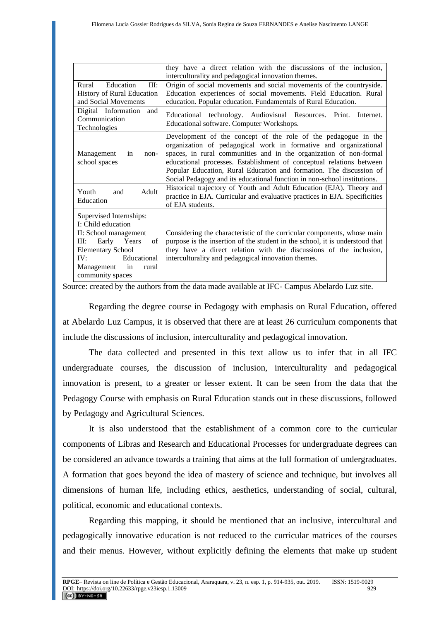|                                                                                                                                                                                                        | they have a direct relation with the discussions of the inclusion,<br>interculturality and pedagogical innovation themes.                                                                                                                                                                                                                                                                                                           |
|--------------------------------------------------------------------------------------------------------------------------------------------------------------------------------------------------------|-------------------------------------------------------------------------------------------------------------------------------------------------------------------------------------------------------------------------------------------------------------------------------------------------------------------------------------------------------------------------------------------------------------------------------------|
| Education<br>Rural<br>III:                                                                                                                                                                             | Origin of social movements and social movements of the countryside.                                                                                                                                                                                                                                                                                                                                                                 |
| <b>History of Rural Education</b>                                                                                                                                                                      | Education experiences of social movements. Field Education. Rural                                                                                                                                                                                                                                                                                                                                                                   |
| and Social Movements                                                                                                                                                                                   | education. Popular education. Fundamentals of Rural Education.                                                                                                                                                                                                                                                                                                                                                                      |
| Digital Information<br>and<br>Communication<br>Technologies                                                                                                                                            | Educational technology. Audiovisual Resources. Print.<br>Internet.<br>Educational software. Computer Workshops.                                                                                                                                                                                                                                                                                                                     |
| Management<br>in<br>non-<br>school spaces                                                                                                                                                              | Development of the concept of the role of the pedagogue in the<br>organization of pedagogical work in formative and organizational<br>spaces, in rural communities and in the organization of non-formal<br>educational processes. Establishment of conceptual relations between<br>Popular Education, Rural Education and formation. The discussion of<br>Social Pedagogy and its educational function in non-school institutions. |
| Youth<br>Adult<br>and<br>Education                                                                                                                                                                     | Historical trajectory of Youth and Adult Education (EJA). Theory and<br>practice in EJA. Curricular and evaluative practices in EJA. Specificities<br>of EJA students.                                                                                                                                                                                                                                                              |
| Supervised Internships:<br>I: Child education<br>II: School management<br>Early Years<br>III:<br>of<br><b>Elementary School</b><br>Educational<br>IV:<br>Management<br>in<br>rural<br>community spaces | Considering the characteristic of the curricular components, whose main<br>purpose is the insertion of the student in the school, it is understood that<br>they have a direct relation with the discussions of the inclusion,<br>interculturality and pedagogical innovation themes.                                                                                                                                                |

Source: created by the authors from the data made available at IFC- Campus Abelardo Luz site.

Regarding the degree course in Pedagogy with emphasis on Rural Education, offered at Abelardo Luz Campus, it is observed that there are at least 26 curriculum components that include the discussions of inclusion, interculturality and pedagogical innovation.

The data collected and presented in this text allow us to infer that in all IFC undergraduate courses, the discussion of inclusion, interculturality and pedagogical innovation is present, to a greater or lesser extent. It can be seen from the data that the Pedagogy Course with emphasis on Rural Education stands out in these discussions, followed by Pedagogy and Agricultural Sciences.

It is also understood that the establishment of a common core to the curricular components of Libras and Research and Educational Processes for undergraduate degrees can be considered an advance towards a training that aims at the full formation of undergraduates. A formation that goes beyond the idea of mastery of science and technique, but involves all dimensions of human life, including ethics, aesthetics, understanding of social, cultural, political, economic and educational contexts.

Regarding this mapping, it should be mentioned that an inclusive, intercultural and pedagogically innovative education is not reduced to the curricular matrices of the courses and their menus. However, without explicitly defining the elements that make up student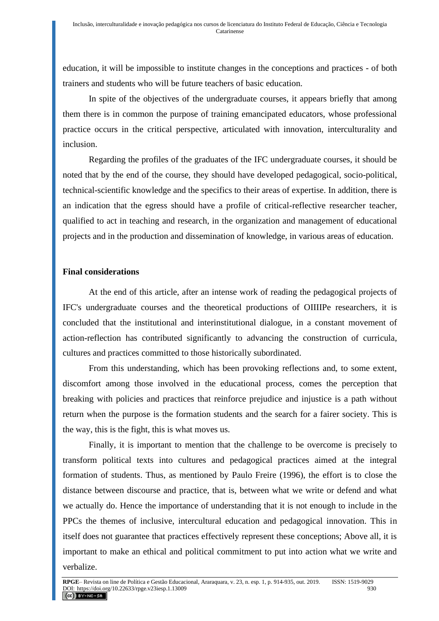education, it will be impossible to institute changes in the conceptions and practices - of both trainers and students who will be future teachers of basic education.

In spite of the objectives of the undergraduate courses, it appears briefly that among them there is in common the purpose of training emancipated educators, whose professional practice occurs in the critical perspective, articulated with innovation, interculturality and inclusion.

Regarding the profiles of the graduates of the IFC undergraduate courses, it should be noted that by the end of the course, they should have developed pedagogical, socio-political, technical-scientific knowledge and the specifics to their areas of expertise. In addition, there is an indication that the egress should have a profile of critical-reflective researcher teacher, qualified to act in teaching and research, in the organization and management of educational projects and in the production and dissemination of knowledge, in various areas of education.

# **Final considerations**

At the end of this article, after an intense work of reading the pedagogical projects of IFC's undergraduate courses and the theoretical productions of OIIIIPe researchers, it is concluded that the institutional and interinstitutional dialogue, in a constant movement of action-reflection has contributed significantly to advancing the construction of curricula, cultures and practices committed to those historically subordinated.

From this understanding, which has been provoking reflections and, to some extent, discomfort among those involved in the educational process, comes the perception that breaking with policies and practices that reinforce prejudice and injustice is a path without return when the purpose is the formation students and the search for a fairer society. This is the way, this is the fight, this is what moves us.

Finally, it is important to mention that the challenge to be overcome is precisely to transform political texts into cultures and pedagogical practices aimed at the integral formation of students. Thus, as mentioned by Paulo Freire (1996), the effort is to close the distance between discourse and practice, that is, between what we write or defend and what we actually do. Hence the importance of understanding that it is not enough to include in the PPCs the themes of inclusive, intercultural education and pedagogical innovation. This in itself does not guarantee that practices effectively represent these conceptions; Above all, it is important to make an ethical and political commitment to put into action what we write and verbalize.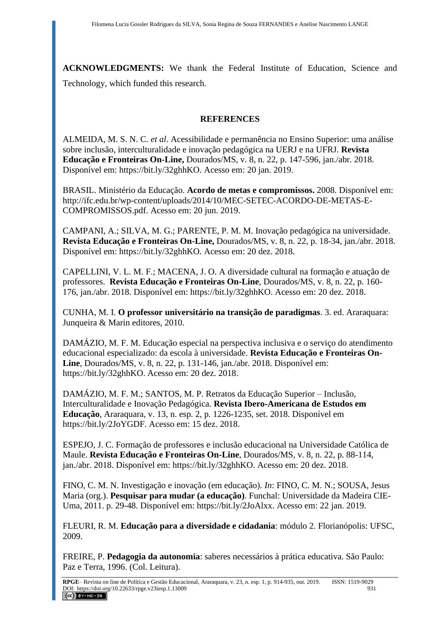**ACKNOWLEDGMENTS:** We thank the Federal Institute of Education, Science and Technology, which funded this research.

# **REFERENCES**

ALMEIDA, M. S. N. C. *et al*. Acessibilidade e permanência no Ensino Superior: uma análise sobre inclusão, interculturalidade e inovação pedagógica na UERJ e na UFRJ. **Revista Educação e Fronteiras On-Line,** Dourados/MS, v. 8, n. 22, p. 147-596, jan./abr. 2018. Disponível em: https://bit.ly/32ghhKO. Acesso em: 20 jan. 2019.

BRASIL. Ministério da Educação. **Acordo de metas e compromissos.** 2008. Disponível em: http://ifc.edu.br/wp-content/uploads/2014/10/MEC-SETEC-ACORDO-DE-METAS-E-COMPROMISSOS.pdf. Acesso em: 20 jun. 2019.

CAMPANI, A.; SILVA, M. G.; PARENTE, P. M. M. Inovação pedagógica na universidade. **Revista Educação e Fronteiras On-Line,** Dourados/MS, v. 8, n. 22, p. 18-34, jan./abr. 2018. Disponível em: https://bit.ly/32ghhKO. Acesso em: 20 dez. 2018.

CAPELLINI, V. L. M. F.; MACENA, J. O. A diversidade cultural na formação e atuação de professores. **Revista Educação e Fronteiras On-Line**, Dourados/MS, v. 8, n. 22, p. 160- 176, jan./abr. 2018. Disponível em: https://bit.ly/32ghhKO. Acesso em: 20 dez. 2018.

CUNHA, M. I. **O professor universitário na transição de paradigmas**. 3. ed. Araraquara: Junqueira & Marin editores, 2010.

DAMÁZIO, M. F. M. Educação especial na perspectiva inclusiva e o serviço do atendimento educacional especializado: da escola à universidade. **Revista Educação e Fronteiras On-Line**, Dourados/MS, v. 8, n. 22, p. 131-146, jan./abr. 2018. Disponível em: https://bit.ly/32ghhKO. Acesso em: 20 dez. 2018.

DAMÁZIO, M. F. M.; SANTOS, M. P. Retratos da Educação Superior – Inclusão, Interculturalidade e Inovação Pedagógica. **Revista Ibero-Americana de Estudos em Educação**, Araraquara, v. 13, n. esp. 2, p. 1226-1235, set. 2018. Disponível em https://bit.ly/2JoYGDF. Acesso em: 15 dez. 2018.

ESPEJO, J. C. [Formação de professores e inclusão educacional na Universidade Católica de](http://ojs.ufgd.edu.br/index.php/educacao/article/view/9047)  [Maule.](http://ojs.ufgd.edu.br/index.php/educacao/article/view/9047) **Revista Educação e Fronteiras On-Line**, Dourados/MS, v. 8, n. 22, p. 88-114, jan./abr. 2018. Disponível em: https://bit.ly/32ghhKO. Acesso em: 20 dez. 2018.

FINO, C. M. N. Investigação e inovação (em educação). *In*: FINO, C. M. N.; SOUSA, Jesus Maria (org.). **Pesquisar para mudar (a educação)**. Funchal: Universidade da Madeira CIE-Uma, 2011. p. 29-48. Disponível em: https://bit.ly/2JoAlxx. Acesso em: 22 jan. 2019.

FLEURI, R. M. **Educação para a diversidade e cidadania**: módulo 2. Florianópolis: UFSC, 2009.

FREIRE, P. **Pedagogia da autonomia**: saberes necessários à prática educativa. São Paulo: Paz e Terra, 1996. (Col. Leitura).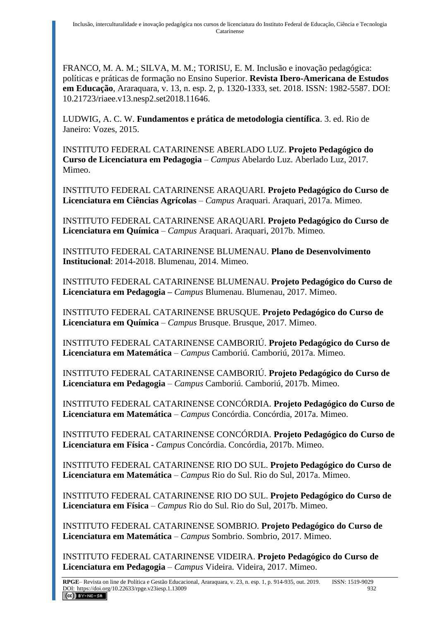FRANCO, M. A. M.; SILVA, M. M.; TORISU, E. M. Inclusão e inovação pedagógica: políticas e práticas de formação no Ensino Superior. **Revista Ibero-Americana de Estudos em Educação**, Araraquara, v. 13, n. esp. 2, p. 1320-1333, set. 2018. ISSN: 1982-5587. DOI: 10.21723/riaee.v13.nesp2.set2018.11646.

LUDWIG, A. C. W. **Fundamentos e prática de metodologia científica**. 3. ed. Rio de Janeiro: Vozes, 2015.

INSTITUTO FEDERAL CATARINENSE ABERLADO LUZ. **Projeto Pedagógico do Curso de Licenciatura em Pedagogia** – *Campus* Abelardo Luz. Aberlado Luz, 2017. Mimeo.

INSTITUTO FEDERAL CATARINENSE ARAQUARI. **Projeto Pedagógico do Curso de Licenciatura em Ciências Agrícolas** – *Campus* Araquari. Araquari, 2017a. Mimeo.

INSTITUTO FEDERAL CATARINENSE ARAQUARI. **Projeto Pedagógico do Curso de Licenciatura em Química** – *Campus* Araquari. Araquari, 2017b. Mimeo.

INSTITUTO FEDERAL CATARINENSE BLUMENAU. **Plano de Desenvolvimento Institucional**: 2014-2018. Blumenau, 2014. Mimeo.

INSTITUTO FEDERAL CATARINENSE BLUMENAU. **Projeto Pedagógico do Curso de Licenciatura em Pedagogia –** *Campus* Blumenau. Blumenau, 2017. Mimeo.

INSTITUTO FEDERAL CATARINENSE BRUSQUE. **Projeto Pedagógico do Curso de Licenciatura em Química** – *Campus* Brusque. Brusque, 2017. Mimeo.

INSTITUTO FEDERAL CATARINENSE CAMBORIÚ. **Projeto Pedagógico do Curso de Licenciatura em Matemática** – *Campus* Camboriú. Camboriú, 2017a. Mimeo.

INSTITUTO FEDERAL CATARINENSE CAMBORIÚ. **Projeto Pedagógico do Curso de Licenciatura em Pedagogia** – *Campus* Camboriú. Camboriú, 2017b. Mimeo.

INSTITUTO FEDERAL CATARINENSE CONCÓRDIA. **Projeto Pedagógico do Curso de Licenciatura em Matemática** – *Campus* Concórdia. Concórdia, 2017a. Mimeo.

INSTITUTO FEDERAL CATARINENSE CONCÓRDIA. **Projeto Pedagógico do Curso de Licenciatura em Física** - *Campus* Concórdia. Concórdia, 2017b. Mimeo.

INSTITUTO FEDERAL CATARINENSE RIO DO SUL. **Projeto Pedagógico do Curso de Licenciatura em Matemática** – *Campus* Rio do Sul. Rio do Sul, 2017a. Mimeo.

INSTITUTO FEDERAL CATARINENSE RIO DO SUL. **Projeto Pedagógico do Curso de Licenciatura em Física** – *Campus* Rio do Sul. Rio do Sul, 2017b. Mimeo.

INSTITUTO FEDERAL CATARINENSE SOMBRIO. **Projeto Pedagógico do Curso de Licenciatura em Matemática** – *Campus* Sombrio. Sombrio, 2017. Mimeo.

INSTITUTO FEDERAL CATARINENSE VIDEIRA. **Projeto Pedagógico do Curso de Licenciatura em Pedagogia** – *Campus* Videira. Videira, 2017. Mimeo.